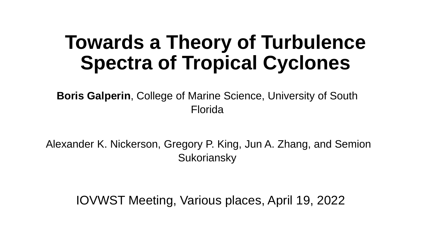## **Towards a Theory of Turbulence Spectra of Tropical Cyclones**

**Boris Galperin**, College of Marine Science, University of South Florida

Alexander K. Nickerson, Gregory P. King, Jun A. Zhang, and Semion **Sukoriansky** 

IOVWST Meeting, Various places, April 19, 2022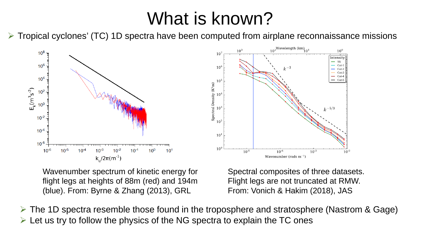## What is known?

 $\triangleright$  Tropical cyclones' (TC) 1D spectra have been computed from airplane reconnaissance missions



Wavenumber spectrum of kinetic energy for flight legs at heights of 88m (red) and 194m (blue). From: Byrne & Zhang (2013), GRL

Spectral composites of three datasets. Flight legs are not truncated at RMW. From: Vonich & Hakim (2018), JAS

 $\triangleright$  The 1D spectra resemble those found in the troposphere and stratosphere (Nastrom & Gage)  $\triangleright$  Let us try to follow the physics of the NG spectra to explain the TC ones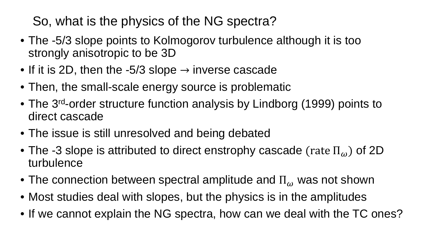So, what is the physics of the NG spectra?

- The -5/3 slope points to Kolmogorov turbulence although it is too strongly anisotropic to be 3D
- If it is 2D, then the -5/3 slope  $\rightarrow$  inverse cascade
- Then, the small-scale energy source is problematic
- The 3<sup>rd</sup>-order structure function analysis by Lindborg (1999) points to direct cascade
- The issue is still unresolved and being debated
- The -3 slope is attributed to direct enstrophy cascade (rate  $\Pi_{\omega}$ ) of 2D turbulence
- The connection between spectral amplitude and  $\Pi_{\omega}$  was not shown
- Most studies deal with slopes, but the physics is in the amplitudes
- If we cannot explain the NG spectra, how can we deal with the TC ones?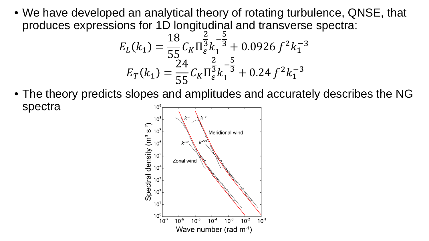• We have developed an analytical theory of rotating turbulence, QNSE, that produces expressions for 1D longitudinal and transverse spectra:

$$
E_L(k_1) = \frac{18}{55} C_K \Pi_{\varepsilon}^{\frac{2}{3}} k_1^{-\frac{5}{3}} + 0.0926 f^2 k_1^{-3}
$$
  

$$
E_T(k_1) = \frac{24}{55} C_K \Pi_{\varepsilon}^{\frac{2}{3}} k_1^{-\frac{5}{3}} + 0.24 f^2 k_1^{-3}
$$

• The theory predicts slopes and amplitudes and accurately describes the NG spectra $10^9$ 

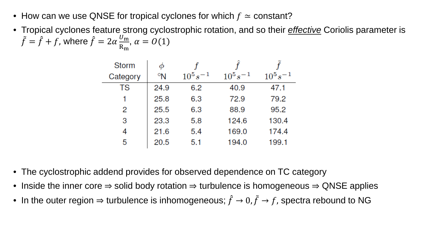- How can we use QNSE for tropical cyclones for which  $f \approx$  constant?
- Tropical cyclones feature strong cyclostrophic rotation, and so their *effective* Coriolis parameter is  $\tilde{f} = \hat{f} + f$ , where  $\hat{f} = 2\alpha \frac{U_{\rm m}}{\rm R_m}$  $R_{m}$  $, \alpha = O(1)$

| <b>Storm</b> |      |               |               |               |
|--------------|------|---------------|---------------|---------------|
| Category     | °N   | $10^5 s^{-1}$ | $10^5 s^{-1}$ | $10^5 s^{-1}$ |
| TS           | 24.9 | 6.2           | 40.9          | 47.1          |
|              | 25.8 | 6.3           | 72.9          | 79.2          |
| 2            | 25.5 | 6.3           | 88.9          | 95.2          |
| 3            | 23.3 | 5.8           | 124.6         | 130.4         |
| 4            | 21.6 | 5.4           | 169.0         | 174.4         |
| 5            | 20.5 | 5.1           | 194.0         | 199.1         |

- The cyclostrophic addend provides for observed dependence on TC category
- Inside the inner core  $\Rightarrow$  solid body rotation  $\Rightarrow$  turbulence is homogeneous  $\Rightarrow$  QNSE applies
- In the outer region  $\Rightarrow$  turbulence is inhomogeneous;  $\hat{f} \rightarrow 0$ ,  $\tilde{f} \rightarrow f$ , spectra rebound to NG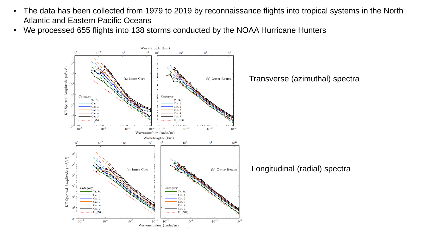- The data has been collected from 1979 to 2019 by reconnaissance flights into tropical systems in the North Atlantic and Eastern Pacific Oceans
- We processed 655 flights into 138 storms conducted by the NOAA Hurricane Hunters

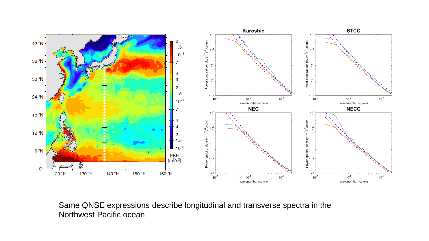

Same QNSE expressions describe longitudinal and transverse spectra in the Northwest Pacific ocean